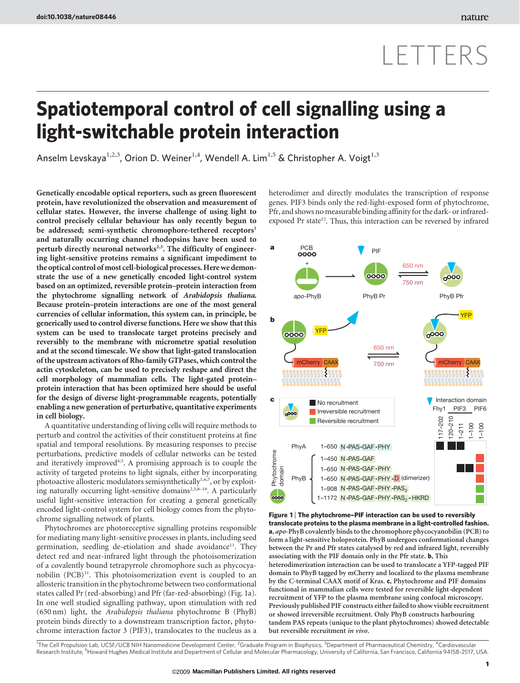## LETTERS

## Spatiotemporal control of cell signalling using a light-switchable protein interaction

Anselm Levskaya<sup>1,2,3</sup>, Orion D. Weiner<sup>1,4</sup>, Wendell A. Lim<sup>1,5</sup> & Christopher A. Voigt<sup>1,3</sup>

Genetically encodable optical reporters, such as green fluorescent protein, have revolutionized the observation and measurement of cellular states. However, the inverse challenge of using light to control precisely cellular behaviour has only recently begun to be addressed; semi-synthetic chromophore-tethered receptors<sup>1</sup> and naturally occurring channel rhodopsins have been used to perturb directly neuronal networks<sup>2,3</sup>. The difficulty of engineering light-sensitive proteins remains a significant impediment to the optical control of most cell-biological processes. Here we demonstrate the use of a new genetically encoded light-control system based on an optimized, reversible protein–protein interaction from the phytochrome signalling network of Arabidopsis thaliana. Because protein–protein interactions are one of the most general currencies of cellular information, this system can, in principle, be generically used to control diverse functions. Here we show that this system can be used to translocate target proteins precisely and reversibly to the membrane with micrometre spatial resolution and at the second timescale. We show that light-gated translocation of the upstream activators of Rho-family GTPases, which control the actin cytoskeleton, can be used to precisely reshape and direct the cell morphology of mammalian cells. The light-gated protein– protein interaction that has been optimized here should be useful for the design of diverse light-programmable reagents, potentially enabling a new generation of perturbative, quantitative experiments in cell biology.

A quantitative understanding of living cells will require methods to perturb and control the activities of their constituent proteins at fine spatial and temporal resolutions. By measuring responses to precise perturbations, predictive models of cellular networks can be tested and iteratively improved<sup>4,5</sup>. A promising approach is to couple the activity of targeted proteins to light signals, either by incorporating photoactive allosteric modulators semisynthetically<sup>1,6,7</sup>, or by exploiting naturally occurring light-sensitive domains<sup>2,3,8-10</sup>. A particularly useful light-sensitive interaction for creating a general genetically encoded light-control system for cell biology comes from the phytochrome signalling network of plants.

Phytochromes are photoreceptive signalling proteins responsible for mediating many light-sensitive processes in plants, including seed germination, seedling de-etiolation and shade avoidance<sup>11</sup>. They detect red and near-infrared light through the photoisomerization of a covalently bound tetrapyrrole chromophore such as phycocyanobilin  $(PCB)^{11}$ . This photoisomerization event is coupled to an allosteric transition in the phytochrome between two conformational states called Pr (red-absorbing) and Pfr (far-red-absorbing) (Fig. 1a). In one well studied signalling pathway, upon stimulation with red (650 nm) light, the Arabidopsis thaliana phytochrome B (PhyB) protein binds directly to a downstream transcription factor, phytochrome interaction factor 3 (PIF3), translocates to the nucleus as a heterodimer and directly modulates the transcription of response genes. PIF3 binds only the red-light-exposed form of phytochrome, Pfr, and shows no measurable binding affinity for the dark- or infraredexposed Pr state<sup>12</sup>. Thus, this interaction can be reversed by infrared



Figure 1 | The phytochrome-PIF interaction can be used to reversibly translocate proteins to the plasma membrane in a light-controlled fashion. a, apo-PhyB covalently binds to the chromophore phycocyanobilin (PCB) to form a light-sensitive holoprotein. PhyB undergoes conformational changes between the Pr and Pfr states catalysed by red and infrared light, reversibly associating with the PIF domain only in the Pfr state. b, This heterodimerization interaction can be used to translocate a YFP-tagged PIF domain to PhyB tagged by mCherry and localized to the plasma membrane by the C-terminal CAAX motif of Kras. c, Phytochrome and PIF domains functional in mammalian cells were tested for reversible light-dependent recruitment of YFP to the plasma membrane using confocal microscopy. Previously published PIF constructs either failed to show visible recruitment or showed irreversible recruitment. Only PhyB constructs harbouring tandem PAS repeats (unique to the plant phytochromes) showed detectable but reversible recruitment in vivo.

<sup>1</sup>The Cell Propulsion Lab, UCSF/UCB NIH Nanomedicine Development Center, <sup>2</sup>Graduate Program in Biophysics, <sup>3</sup>Department of Pharmaceutical Chemistry, <sup>4</sup>Cardiovascular Research Institute, <sup>5</sup>Howard Hughes Medical Institute and Department of Cellular and Molecular Pharmacology, University of California, San Francisco, California 94158-2517, USA.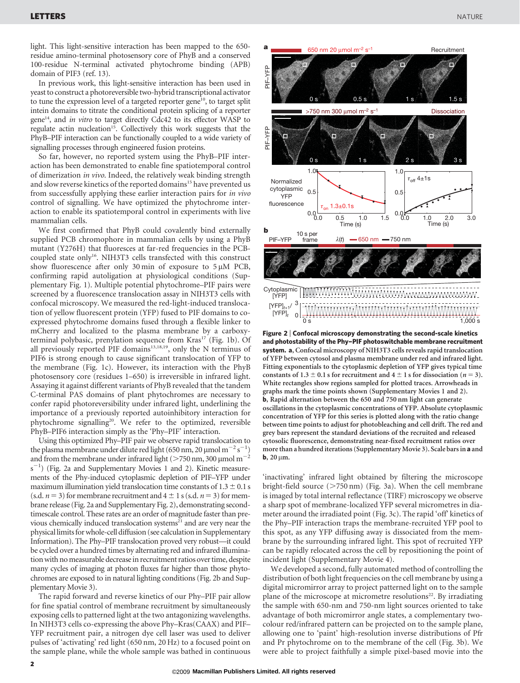light. This light-sensitive interaction has been mapped to the 650 residue amino-terminal photosensory core of PhyB and a conserved 100-residue N-terminal activated phytochrome binding (APB) domain of PIF3 (ref. 13).

In previous work, this light-sensitive interaction has been used in yeast to construct a photoreversible two-hybrid transcriptional activator to tune the expression level of a targeted reporter gene<sup>10</sup>, to target split intein domains to titrate the conditional protein splicing of a reporter gene<sup>14</sup>, and *in vitro* to target directly Cdc42 to its effector WASP to regulate actin nucleation<sup>15</sup>. Collectively this work suggests that the PhyB–PIF interaction can be functionally coupled to a wide variety of signalling processes through engineered fusion proteins.

So far, however, no reported system using the PhyB–PIF interaction has been demonstrated to enable fine spatiotemporal control of dimerization in vivo. Indeed, the relatively weak binding strength and slow reverse kinetics of the reported domains<sup>15</sup> have prevented us from successfully applying these earlier interaction pairs for in vivo control of signalling. We have optimized the phytochrome interaction to enable its spatiotemporal control in experiments with live mammalian cells.

We first confirmed that PhyB could covalently bind externally supplied PCB chromophore in mammalian cells by using a PhyB mutant (Y276H) that fluoresces at far-red frequencies in the PCBcoupled state only<sup>16</sup>. NIH3T3 cells transfected with this construct show fluorescence after only 30 min of exposure to  $5 \mu M$  PCB, confirming rapid autoligation at physiological conditions (Supplementary Fig. 1). Multiple potential phytochrome–PIF pairs were screened by a fluorescence translocation assay in NIH3T3 cells with confocal microscopy. We measured the red-light-induced translocation of yellow fluorescent protein (YFP) fused to PIF domains to coexpressed phytochrome domains fused through a flexible linker to mCherry and localized to the plasma membrane by a carboxyterminal polybasic, prenylation sequence from Kras<sup>17</sup> (Fig. 1b). Of all previously reported PIF domains<sup>13,18,19</sup>, only the N terminus of PIF6 is strong enough to cause significant translocation of YFP to the membrane (Fig. 1c). However, its interaction with the PhyB photosensory core (residues 1–650) is irreversible in infrared light. Assaying it against different variants of PhyB revealed that the tandem C-terminal PAS domains of plant phytochromes are necessary to confer rapid photoreversibility under infrared light, underlining the importance of a previously reported autoinhibitory interaction for phytochrome signalling<sup>20</sup>. We refer to the optimized, reversible PhyB–PIF6 interaction simply as the 'Phy–PIF' interaction.

Using this optimized Phy–PIF pair we observe rapid translocation to the plasma membrane under dilute red light (650 nm, 20  $\mu$ mol m<sup>-2</sup> s<sup>-1</sup> the plasma membrane under dilute red light (650 nm, 20 µmol m<sup>-2</sup> s<sup>-1</sup>) and from the membrane under infrared light (>750 nm, 300 µmol m<sup>-2</sup> s<sup>-1</sup>) (Fig. 2a and Supplementary Movies 1 and 2). Kinetic measurements of the Phy-induced cytoplasmic depletion of PIF–YFP under maximum illumination yield translocation time constants of  $1.3 \pm 0.1$  s (s.d.  $n = 3$ ) for membrane recruitment and  $4 \pm 1$  s (s.d.  $n = 3$ ) for membrane release (Fig. 2a and Supplementary Fig. 2), demonstrating secondtimescale control. These rates are an order of magnitude faster than previous chemically induced translocation systems<sup>21</sup> and are very near the physical limits for whole-cell diffusion (see calculation in Supplementary Information). The Phy–PIF translocation proved very robust—it could be cycled over a hundred times by alternating red and infrared illumination with no measurable decrease in recruitment ratios over time, despite many cycles of imaging at photon fluxes far higher than those phytochromes are exposed to in natural lighting conditions (Fig. 2b and Supplementary Movie 3).

The rapid forward and reverse kinetics of our Phy–PIF pair allow for fine spatial control of membrane recruitment by simultaneously exposing cells to patterned light at the two antagonizing wavelengths. In NIH3T3 cells co-expressing the above Phy–Kras(CAAX) and PIF– YFP recruitment pair, a nitrogen dye cell laser was used to deliver pulses of 'activating' red light (650 nm, 20 Hz) to a focused point on the sample plane, while the whole sample was bathed in continuous



Figure 2 <sup>|</sup> Confocal microscopy demonstrating the second-scale kinetics and photostability of the Phy–PIF photoswitchable membrane recruitment system. a, Confocal microscopy of NIH3T3 cells reveals rapid translocation of YFP between cytosol and plasma membrane under red and infrared light. Fitting exponentials to the cytoplasmic depletion of YFP gives typical time constants of  $1.3 \pm 0.1$  s for recruitment and  $4 \pm 1$  s for dissociation ( $n = 3$ ). White rectangles show regions sampled for plotted traces. Arrowheads in graphs mark the time points shown (Supplementary Movies 1 and 2). b, Rapid alternation between the 650 and 750 nm light can generate oscillations in the cytoplasmic concentrations of YFP. Absolute cytoplasmic concentration of YFP for this series is plotted along with the ratio change between time points to adjust for photobleaching and cell drift. The red and grey bars represent the standard deviations of the recruited and released cytosolic fluorescence, demonstrating near-fixed recruitment ratios over more than a hundred iterations (SupplementaryMovie 3). Scale bars in a and  $b$ , 20  $\mu$ m.

'inactivating' infrared light obtained by filtering the microscope bright-field source  $($ >750 nm) (Fig. 3a). When the cell membrane is imaged by total internal reflectance (TIRF) microscopy we observe a sharp spot of membrane-localized YFP several micrometres in diameter around the irradiated point (Fig. 3c). The rapid 'off' kinetics of the Phy–PIF interaction traps the membrane-recruited YFP pool to this spot, as any YFP diffusing away is dissociated from the membrane by the surrounding infrared light. This spot of recruited YFP can be rapidly relocated across the cell by repositioning the point of incident light (Supplementary Movie 4).

We developed a second, fully automated method of controlling the distribution of both light frequencies on the cell membrane by using a digital micromirror array to project patterned light on to the sample plane of the microscope at micrometre resolutions<sup>22</sup>. By irradiating the sample with 650-nm and 750-nm light sources oriented to take advantage of both micromirror angle states, a complementary twocolour red/infrared pattern can be projected on to the sample plane, allowing one to 'paint' high-resolution inverse distributions of Pfr and Pr phytochrome on to the membrane of the cell (Fig. 3b). We were able to project faithfully a simple pixel-based movie into the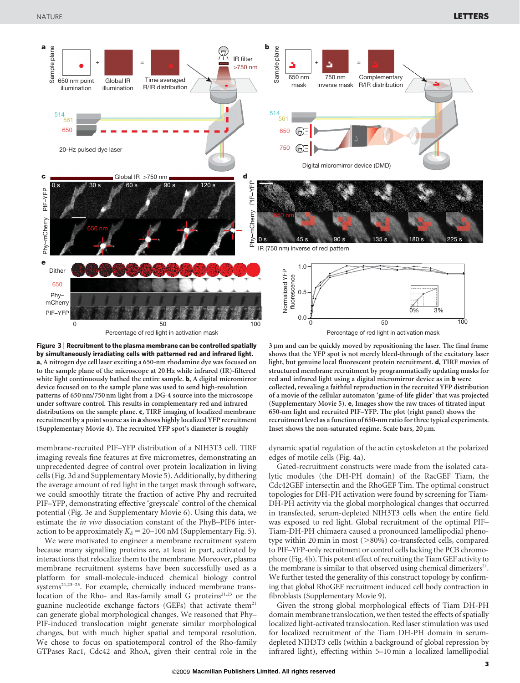



membrane-recruited PIF–YFP distribution of a NIH3T3 cell. TIRF imaging reveals fine features at five micrometres, demonstrating an unprecedented degree of control over protein localization in living cells (Fig. 3d and Supplementary Movie 5). Additionally, by dithering the average amount of red light in the target mask through software, we could smoothly titrate the fraction of active Phy and recruited PIF–YFP, demonstrating effective 'greyscale' control of the chemical potential (Fig. 3e and Supplementary Movie 6). Using this data, we estimate the in vivo dissociation constant of the PhyB–PIF6 interaction to be approximately  $K_d = 20-100$  nM (Supplementary Fig. 5).

We were motivated to engineer a membrane recruitment system because many signalling proteins are, at least in part, activated by interactions that relocalize them to the membrane. Moreover, plasma membrane recruitment systems have been successfully used as a platform for small-molecule-induced chemical biology control systems<sup>21,23–25</sup>. For example, chemically induced membrane translocation of the Rho- and Ras-family small G proteins<sup>21,23</sup> or the guanine nucleotide exchange factors (GEFs) that activate them<sup>21</sup> can generate global morphological changes. We reasoned that Phy– PIF-induced translocation might generate similar morphological changes, but with much higher spatial and temporal resolution. We chose to focus on spatiotemporal control of the Rho-family GTPases Rac1, Cdc42 and RhoA, given their central role in the  $3 \mu m$  and can be quickly moved by repositioning the laser. The final frame shows that the YFP spot is not merely bleed-through of the excitatory laser light, but genuine local fluorescent protein recruitment. d, TIRF movies of structured membrane recruitment by programmatically updating masks for red and infrared light using a digital micromirror device as in b were collected, revealing a faithful reproduction in the recruited YFP distribution of a movie of the cellular automaton 'game-of-life glider' that was projected (Supplementary Movie 5). e, Images show the raw traces of titrated input 650-nm light and recruited PIF–YFP. The plot (right panel) shows the recruitment level as a function of 650-nm ratio for three typical experiments. Inset shows the non-saturated regime. Scale bars,  $20 \mu m$ .

dynamic spatial regulation of the actin cytoskeleton at the polarized edges of motile cells (Fig. 4a).

Gated-recruitment constructs were made from the isolated catalytic modules (the DH-PH domain) of the RacGEF Tiam, the Cdc42GEF intersectin and the RhoGEF Tim. The optimal construct topologies for DH-PH activation were found by screening for Tiam-DH-PH activity via the global morphological changes that occurred in transfected, serum-depleted NIH3T3 cells when the entire field was exposed to red light. Global recruitment of the optimal PIF– Tiam-DH-PH chimaera caused a pronounced lamellipodial phenotype within 20 min in most  $(>80\%)$  co-transfected cells, compared to PIF–YFP-only recruitment or control cells lacking the PCB chromophore (Fig. 4b). This potent effect of recruiting the Tiam GEF activity to the membrane is similar to that observed using chemical dimerizers $21$ . We further tested the generality of this construct topology by confirming that global RhoGEF recruitment induced cell body contraction in fibroblasts (Supplementary Movie 9).

Given the strong global morphological effects of Tiam DH-PH domain membrane translocation, we then tested the effects of spatially localized light-activated translocation. Red laser stimulation was used for localized recruitment of the Tiam DH-PH domain in serumdepleted NIH3T3 cells (within a background of global repression by infrared light), effecting within 5–10 min a localized lamellipodial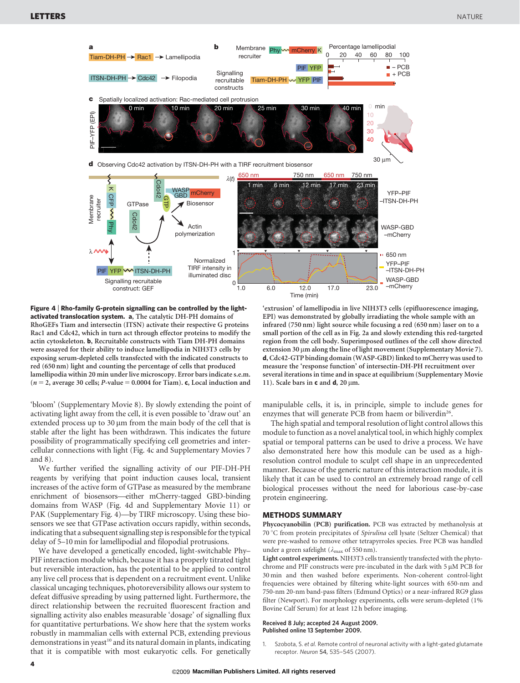

Figure 4 <sup>|</sup> Rho-family G-protein signalling can be controlled by the lightactivated translocation system. a, The catalytic DH-PH domains of RhoGEFs Tiam and intersectin (ITSN) activate their respective G proteins Rac1 and Cdc42, which in turn act through effector proteins to modify the actin cytoskeleton. b, Recruitable constructs with Tiam DH-PH domains were assayed for their ability to induce lamellipodia in NIH3T3 cells by exposing serum-depleted cells transfected with the indicated constructs to red (650 nm) light and counting the percentage of cells that produced lamellipodia within 20 min under live microscopy. Error bars indicate s.e.m.  $(n = 2$ , average 30 cells; P-value = 0.0004 for Tiam). c, Local induction and

'bloom' (Supplementary Movie 8). By slowly extending the point of activating light away from the cell, it is even possible to 'draw out' an extended process up to  $30 \mu m$  from the main body of the cell that is stable after the light has been withdrawn. This indicates the future possibility of programmatically specifying cell geometries and intercellular connections with light (Fig. 4c and Supplementary Movies 7 and 8).

We further verified the signalling activity of our PIF-DH-PH reagents by verifying that point induction causes local, transient increases of the active form of GTPase as measured by the membrane enrichment of biosensors—either mCherry-tagged GBD-binding domains from WASP (Fig. 4d and Supplementary Movie 11) or PAK (Supplementary Fig. 4)—by TIRF microscopy. Using these biosensors we see that GTPase activation occurs rapidly, within seconds, indicating that a subsequent signalling step is responsible for the typical delay of 5–10 min for lamellipodial and filopodial protrusions.

We have developed a genetically encoded, light-switchable Phy– PIF interaction module which, because it has a properly titrated tight but reversible interaction, has the potential to be applied to control any live cell process that is dependent on a recruitment event. Unlike classical uncaging techniques, photoreversibility allows our system to defeat diffusive spreading by using patterned light. Furthermore, the direct relationship between the recruited fluorescent fraction and signalling activity also enables measurable 'dosage' of signalling flux for quantitative perturbations. We show here that the system works robustly in mammalian cells with external PCB, extending previous demonstrations in yeast<sup>10</sup> and its natural domain in plants, indicating that it is compatible with most eukaryotic cells. For genetically

'extrusion' of lamellipodia in live NIH3T3 cells (epifluorescence imaging, EPI) was demonstrated by globally irradiating the whole sample with an infrared (750 nm) light source while focusing a red (650 nm) laser on to a small portion of the cell as in Fig. 2a and slowly extending this red-targeted region from the cell body. Superimposed outlines of the cell show directed extension 30  $\mu$ m along the line of light movement (Supplementary Movie 7). d, Cdc42-GTP binding domain (WASP-GBD) linked to mCherry was used to measure the 'response function' of intersectin-DH-PH recruitment over several iterations in time and in space at equilibrium (Supplementary Movie 11). Scale bars in  $c$  and  $d$ , 20  $\mu$ m.

manipulable cells, it is, in principle, simple to include genes for enzymes that will generate PCB from haem or biliverdin<sup>26</sup>.

The high spatial and temporal resolution of light control allows this module to function as a novel analytical tool, in which highly complex spatial or temporal patterns can be used to drive a process. We have also demonstrated here how this module can be used as a highresolution control module to sculpt cell shape in an unprecedented manner. Because of the generic nature of this interaction module, it is likely that it can be used to control an extremely broad range of cell biological processes without the need for laborious case-by-case protein engineering.

## METHODS SUMMARY

Phycocyanobilin (PCB) purification. PCB was extracted by methanolysis at 70 °C from protein precipitates of Spirulina cell lysate (Seltzer Chemical) that were pre-washed to remove other tetrapyrroles species. Free PCB was handled under a green safelight ( $\lambda_{\text{max}}$  of 550 nm).

Light control experiments. NIH3T3 cells transiently transfected with the phytochrome and PIF constructs were pre-incubated in the dark with  $5 \mu M$  PCB for 30 min and then washed before experiments. Non-coherent control-light frequencies were obtained by filtering white-light sources with 650-nm and 750-nm 20-nm band-pass filters (Edmund Optics) or a near-infrared RG9 glass filter (Newport). For morphology experiments, cells were serum-depleted (1% Bovine Calf Serum) for at least 12 h before imaging.

## Received 8 July; accepted 24 August 2009. Published online 13 September 2009.

1. Szobota, S. et al. Remote control of neuronal activity with a light-gated glutamate receptor. Neuron 54, 535–545 (2007).